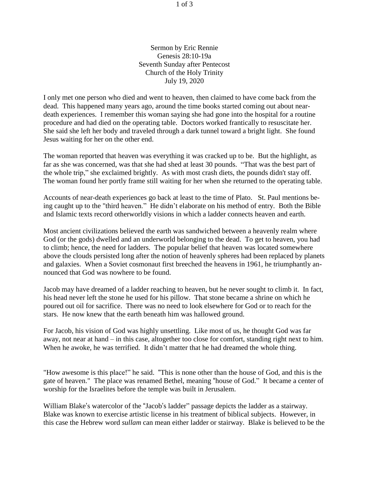Sermon by Eric Rennie Genesis 28:10-19a Seventh Sunday after Pentecost Church of the Holy Trinity July 19, 2020

I only met one person who died and went to heaven, then claimed to have come back from the dead. This happened many years ago, around the time books started coming out about neardeath experiences. I remember this woman saying she had gone into the hospital for a routine procedure and had died on the operating table. Doctors worked frantically to resuscitate her. She said she left her body and traveled through a dark tunnel toward a bright light. She found Jesus waiting for her on the other end.

The woman reported that heaven was everything it was cracked up to be. But the highlight, as far as she was concerned, was that she had shed at least 30 pounds. "That was the best part of the whole trip," she exclaimed brightly. As with most crash diets, the pounds didn't stay off. The woman found her portly frame still waiting for her when she returned to the operating table.

Accounts of near-death experiences go back at least to the time of Plato. St. Paul mentions being caught up to the "third heaven." He didn't elaborate on his method of entry. Both the Bible and Islamic texts record otherworldly visions in which a ladder connects heaven and earth.

Most ancient civilizations believed the earth was sandwiched between a heavenly realm where God (or the gods) dwelled and an underworld belonging to the dead. To get to heaven, you had to climb; hence, the need for ladders. The popular belief that heaven was located somewhere above the clouds persisted long after the notion of heavenly spheres had been replaced by planets and galaxies. When a Soviet cosmonaut first breeched the heavens in 1961, he triumphantly announced that God was nowhere to be found.

Jacob may have dreamed of a ladder reaching to heaven, but he never sought to climb it. In fact, his head never left the stone he used for his pillow. That stone became a shrine on which he poured out oil for sacrifice. There was no need to look elsewhere for God or to reach for the stars. He now knew that the earth beneath him was hallowed ground.

For Jacob, his vision of God was highly unsettling. Like most of us, he thought God was far away, not near at hand – in this case, altogether too close for comfort, standing right next to him. When he awoke, he was terrified. It didn't matter that he had dreamed the whole thing.

"How awesome is this place!" he said. "This is none other than the house of God, and this is the gate of heaven." The place was renamed Bethel, meaning "house of God." It became a center of worship for the Israelites before the temple was built in Jerusalem.

William Blake's watercolor of the "Jacob's ladder" passage depicts the ladder as a stairway. Blake was known to exercise artistic license in his treatment of biblical subjects. However, in this case the Hebrew word *sullam* can mean either ladder or stairway. Blake is believed to be the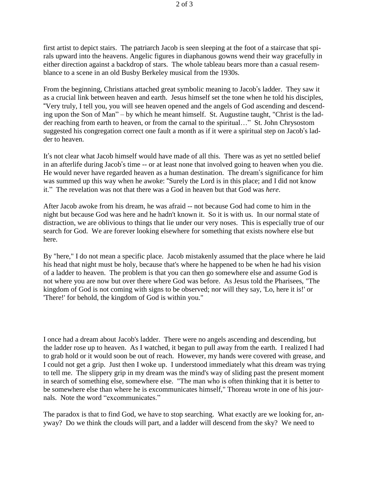first artist to depict stairs. The patriarch Jacob is seen sleeping at the foot of a staircase that spirals upward into the heavens. Angelic figures in diaphanous gowns wend their way gracefully in either direction against a backdrop of stars. The whole tableau bears more than a casual resemblance to a scene in an old Busby Berkeley musical from the 1930s.

From the beginning, Christians attached great symbolic meaning to Jacob's ladder. They saw it as a crucial link between heaven and earth. Jesus himself set the tone when he told his disciples, "Very truly, I tell you, you will see heaven opened and the angels of God ascending and descending upon the Son of Man" – by which he meant himself. St. Augustine taught, "Christ is the ladder reaching from earth to heaven, or from the carnal to the spiritual…" St. John Chrysostom suggested his congregation correct one fault a month as if it were a spiritual step on Jacob's ladder to heaven.

It's not clear what Jacob himself would have made of all this. There was as yet no settled belief in an afterlife during Jacob's time -- or at least none that involved going to heaven when you die. He would never have regarded heaven as a human destination. The dream's significance for him was summed up this way when he awoke: "Surely the Lord is in this place; and I did not know it." The revelation was not that there was a God in heaven but that God was *here*.

After Jacob awoke from his dream, he was afraid -- not because God had come to him in the night but because God was here and he hadn't known it. So it is with us. In our normal state of distraction, we are oblivious to things that lie under our very noses. This is especially true of our search for God. We are forever looking elsewhere for something that exists nowhere else but here.

By "here," I do not mean a specific place. Jacob mistakenly assumed that the place where he laid his head that night must be holy, because that's where he happened to be when he had his vision of a ladder to heaven. The problem is that you can then go somewhere else and assume God is not where you are now but over there where God was before. As Jesus told the Pharisees, "The kingdom of God is not coming with signs to be observed; nor will they say, 'Lo, here it is!' or 'There!' for behold, the kingdom of God is within you."

I once had a dream about Jacob's ladder. There were no angels ascending and descending, but the ladder rose up to heaven. As I watched, it began to pull away from the earth. I realized I had to grab hold or it would soon be out of reach. However, my hands were covered with grease, and I could not get a grip. Just then I woke up. I understood immediately what this dream was trying to tell me. The slippery grip in my dream was the mind's way of sliding past the present moment in search of something else, somewhere else. "The man who is often thinking that it is better to be somewhere else than where he is excommunicates himself," Thoreau wrote in one of his journals. Note the word "excommunicates."

The paradox is that to find God, we have to stop searching. What exactly are we looking for, anyway? Do we think the clouds will part, and a ladder will descend from the sky? We need to